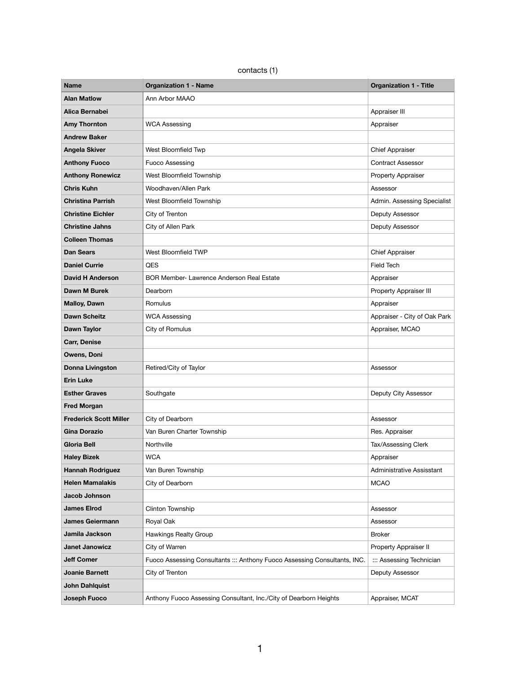contacts (1)

| <b>Name</b>                   | <b>Organization 1 - Name</b>                                              | <b>Organization 1 - Title</b> |
|-------------------------------|---------------------------------------------------------------------------|-------------------------------|
| <b>Alan Matlow</b>            | Ann Arbor MAAO                                                            |                               |
| Alica Bernabei                |                                                                           | Appraiser III                 |
| <b>Amy Thornton</b>           | <b>WCA Assessing</b>                                                      | Appraiser                     |
| <b>Andrew Baker</b>           |                                                                           |                               |
| <b>Angela Skiver</b>          | West Bloomfield Twp                                                       | <b>Chief Appraiser</b>        |
| <b>Anthony Fuoco</b>          | <b>Fuoco Assessing</b>                                                    | <b>Contract Assessor</b>      |
| <b>Anthony Ronewicz</b>       | West Bloomfield Township                                                  | Property Appraiser            |
| <b>Chris Kuhn</b>             | Woodhaven/Allen Park                                                      | Assessor                      |
| <b>Christina Parrish</b>      | West Bloomfield Township                                                  | Admin. Assessing Specialist   |
| <b>Christine Eichler</b>      | City of Trenton                                                           | Deputy Assessor               |
| <b>Christine Jahns</b>        | City of Allen Park                                                        | Deputy Assessor               |
| <b>Colleen Thomas</b>         |                                                                           |                               |
| <b>Dan Sears</b>              | West Bloomfield TWP                                                       | <b>Chief Appraiser</b>        |
| <b>Daniel Currie</b>          | QES                                                                       | <b>Field Tech</b>             |
| <b>David H Anderson</b>       | <b>BOR Member- Lawrence Anderson Real Estate</b>                          | Appraiser                     |
| Dawn M Burek                  | Dearborn                                                                  | Property Appraiser III        |
| <b>Malloy, Dawn</b>           | Romulus                                                                   | Appraiser                     |
| <b>Dawn Scheitz</b>           | <b>WCA Assessing</b>                                                      | Appraiser - City of Oak Park  |
| <b>Dawn Taylor</b>            | City of Romulus                                                           | Appraiser, MCAO               |
| <b>Carr, Denise</b>           |                                                                           |                               |
| Owens, Doni                   |                                                                           |                               |
| <b>Donna Livingston</b>       | Retired/City of Taylor                                                    | Assessor                      |
| <b>Erin Luke</b>              |                                                                           |                               |
| <b>Esther Graves</b>          | Southgate                                                                 | Deputy City Assessor          |
| <b>Fred Morgan</b>            |                                                                           |                               |
| <b>Frederick Scott Miller</b> | City of Dearborn                                                          | Assessor                      |
| <b>Gina Dorazio</b>           | Van Buren Charter Township                                                | Res. Appraiser                |
| <b>Gloria Bell</b>            | Northville                                                                | Tax/Assessing Clerk           |
| <b>Haley Bizek</b>            | <b>WCA</b>                                                                | Appraiser                     |
| <b>Hannah Rodriguez</b>       | Van Buren Township                                                        | Administrative Assisstant     |
| <b>Helen Mamalakis</b>        | City of Dearborn                                                          | <b>MCAO</b>                   |
| <b>Jacob Johnson</b>          |                                                                           |                               |
| <b>James Elrod</b>            | <b>Clinton Township</b>                                                   | Assessor                      |
| <b>James Geiermann</b>        | Royal Oak                                                                 | Assessor                      |
| Jamila Jackson                | <b>Hawkings Realty Group</b>                                              | <b>Broker</b>                 |
| <b>Janet Janowicz</b>         | City of Warren                                                            | Property Appraiser II         |
| <b>Jeff Comer</b>             | Fuoco Assessing Consultants ::: Anthony Fuoco Assessing Consultants, INC. | ::: Assessing Technician      |
| <b>Joanie Barnett</b>         | City of Trenton                                                           | Deputy Assessor               |
| <b>John Dahlquist</b>         |                                                                           |                               |
| Joseph Fuoco                  | Anthony Fuoco Assessing Consultant, Inc./City of Dearborn Heights         | Appraiser, MCAT               |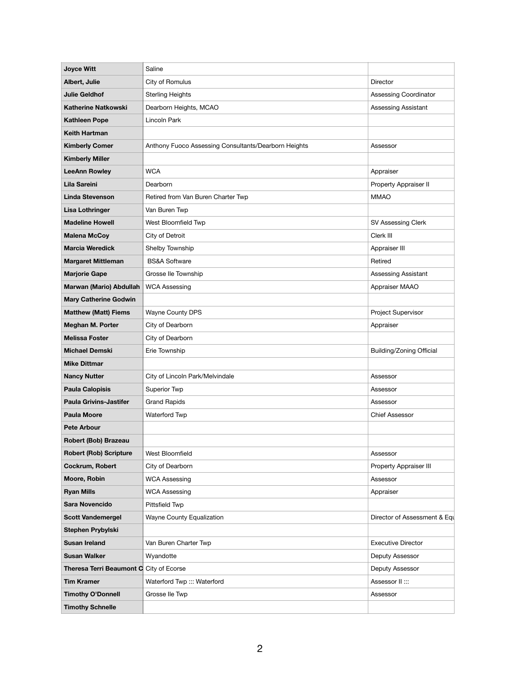| <b>Joyce Witt</b>               | Saline                                               |                                 |
|---------------------------------|------------------------------------------------------|---------------------------------|
| Albert, Julie                   | City of Romulus                                      | Director                        |
| <b>Julie Geldhof</b>            | <b>Sterling Heights</b>                              | <b>Assessing Coordinator</b>    |
| <b>Katherine Natkowski</b>      | Dearborn Heights, MCAO                               | <b>Assessing Assistant</b>      |
| <b>Kathleen Pope</b>            | Lincoln Park                                         |                                 |
| <b>Keith Hartman</b>            |                                                      |                                 |
| <b>Kimberly Comer</b>           | Anthony Fuoco Assessing Consultants/Dearborn Heights | Assessor                        |
| <b>Kimberly Miller</b>          |                                                      |                                 |
| <b>LeeAnn Rowley</b>            | <b>WCA</b>                                           | Appraiser                       |
| <b>Lila Sareini</b>             | Dearborn                                             | Property Appraiser II           |
| <b>Linda Stevenson</b>          | Retired from Van Buren Charter Twp                   | <b>MMAO</b>                     |
| <b>Lisa Lothringer</b>          | Van Buren Twp                                        |                                 |
| <b>Madeline Howell</b>          | West Bloomfield Twp                                  | SV Assessing Clerk              |
| <b>Malena McCoy</b>             | City of Detroit                                      | Clerk III                       |
| <b>Marcia Weredick</b>          | Shelby Township                                      | Appraiser III                   |
| <b>Margaret Mittleman</b>       | <b>BS&amp;A Software</b>                             | Retired                         |
| <b>Marjorie Gape</b>            | Grosse Ile Township                                  | Assessing Assistant             |
| Marwan (Mario) Abdullah         | <b>WCA Assessing</b>                                 | Appraiser MAAO                  |
| <b>Mary Catherine Godwin</b>    |                                                      |                                 |
| <b>Matthew (Matt) Fiems</b>     | Wayne County DPS                                     | Project Supervisor              |
| <b>Meghan M. Porter</b>         | City of Dearborn                                     | Appraiser                       |
| <b>Melissa Foster</b>           | City of Dearborn                                     |                                 |
| <b>Michael Demski</b>           | Erie Township                                        | <b>Building/Zoning Official</b> |
| <b>Mike Dittmar</b>             |                                                      |                                 |
| <b>Nancy Nutter</b>             | City of Lincoln Park/Melvindale                      | Assessor                        |
| <b>Paula Calopisis</b>          | <b>Superior Twp</b>                                  | Assessor                        |
| <b>Paula Grivins-Jastifer</b>   | <b>Grand Rapids</b>                                  | Assessor                        |
| <b>Paula Moore</b>              | Waterford Twp                                        | <b>Chief Assessor</b>           |
| <b>Pete Arbour</b>              |                                                      |                                 |
| Robert (Bob) Brazeau            |                                                      |                                 |
| <b>Robert (Rob) Scripture</b>   | West Bloomfield                                      | Assessor                        |
| Cockrum, Robert                 | City of Dearborn                                     | Property Appraiser III          |
| Moore, Robin                    | <b>WCA Assessing</b>                                 | Assessor                        |
| <b>Ryan Mills</b>               | <b>WCA Assessing</b>                                 | Appraiser                       |
| <b>Sara Novencido</b>           | Pittsfield Twp                                       |                                 |
| <b>Scott Vandemergel</b>        | Wayne County Equalization                            | Director of Assessment & Equ    |
| Stephen Prybylski               |                                                      |                                 |
| <b>Susan Ireland</b>            | Van Buren Charter Twp                                | <b>Executive Director</b>       |
| <b>Susan Walker</b>             | Wyandotte                                            | Deputy Assessor                 |
| <b>Theresa Terri Beaumont C</b> | City of Ecorse                                       | Deputy Assessor                 |
| <b>Tim Kramer</b>               | Waterford Twp ::: Waterford                          | Assessor II :::                 |
| <b>Timothy O'Donnell</b>        | Grosse Ile Twp                                       | Assessor                        |
| <b>Timothy Schnelle</b>         |                                                      |                                 |